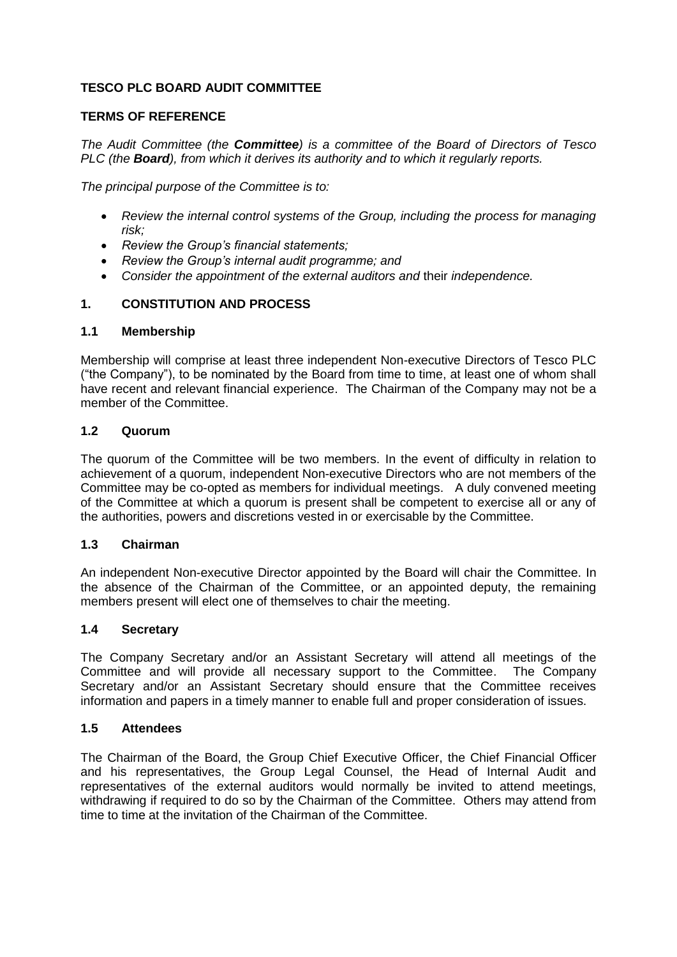# **TESCO PLC BOARD AUDIT COMMITTEE**

## **TERMS OF REFERENCE**

*The Audit Committee (the Committee) is a committee of the Board of Directors of Tesco PLC (the Board), from which it derives its authority and to which it regularly reports.* 

*The principal purpose of the Committee is to:*

- *Review the internal control systems of the Group, including the process for managing risk;*
- *Review the Group's financial statements;*
- *Review the Group's internal audit programme; and*
- *Consider the appointment of the external auditors and* their *independence.*

## **1. CONSTITUTION AND PROCESS**

#### **1.1 Membership**

Membership will comprise at least three independent Non-executive Directors of Tesco PLC ("the Company"), to be nominated by the Board from time to time, at least one of whom shall have recent and relevant financial experience. The Chairman of the Company may not be a member of the Committee.

#### **1.2 Quorum**

The quorum of the Committee will be two members. In the event of difficulty in relation to achievement of a quorum, independent Non-executive Directors who are not members of the Committee may be co-opted as members for individual meetings. A duly convened meeting of the Committee at which a quorum is present shall be competent to exercise all or any of the authorities, powers and discretions vested in or exercisable by the Committee.

## **1.3 Chairman**

An independent Non-executive Director appointed by the Board will chair the Committee. In the absence of the Chairman of the Committee, or an appointed deputy, the remaining members present will elect one of themselves to chair the meeting.

## **1.4 Secretary**

The Company Secretary and/or an Assistant Secretary will attend all meetings of the Committee and will provide all necessary support to the Committee. The Company Secretary and/or an Assistant Secretary should ensure that the Committee receives information and papers in a timely manner to enable full and proper consideration of issues.

#### **1.5 Attendees**

The Chairman of the Board, the Group Chief Executive Officer, the Chief Financial Officer and his representatives, the Group Legal Counsel, the Head of Internal Audit and representatives of the external auditors would normally be invited to attend meetings, withdrawing if required to do so by the Chairman of the Committee. Others may attend from time to time at the invitation of the Chairman of the Committee.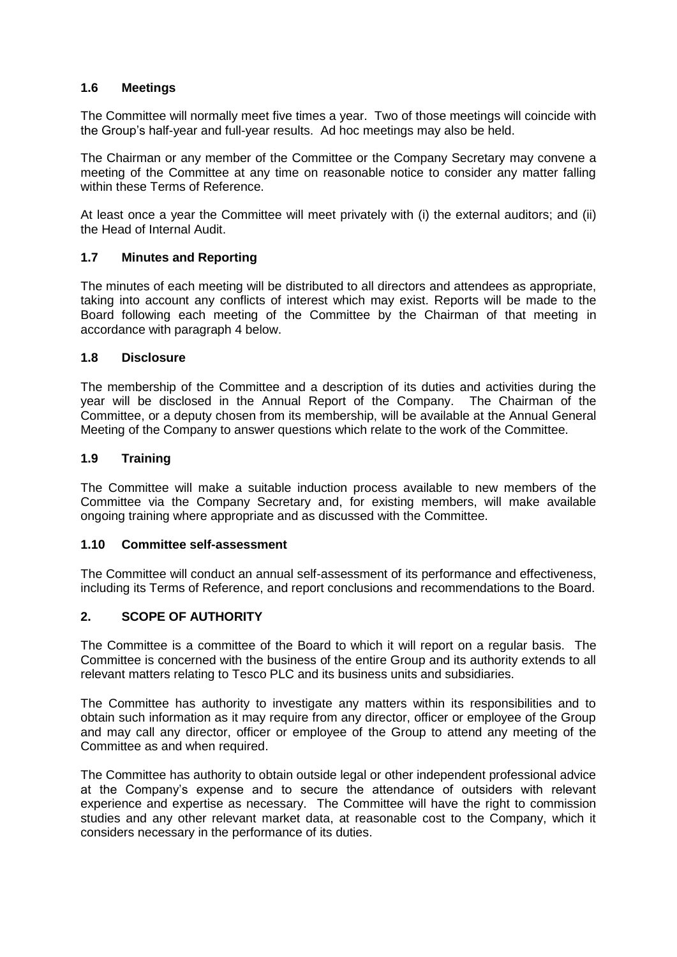## **1.6 Meetings**

The Committee will normally meet five times a year. Two of those meetings will coincide with the Group's half-year and full-year results. Ad hoc meetings may also be held.

The Chairman or any member of the Committee or the Company Secretary may convene a meeting of the Committee at any time on reasonable notice to consider any matter falling within these Terms of Reference.

At least once a year the Committee will meet privately with (i) the external auditors; and (ii) the Head of Internal Audit.

## **1.7 Minutes and Reporting**

The minutes of each meeting will be distributed to all directors and attendees as appropriate, taking into account any conflicts of interest which may exist. Reports will be made to the Board following each meeting of the Committee by the Chairman of that meeting in accordance with paragraph 4 below.

## **1.8 Disclosure**

The membership of the Committee and a description of its duties and activities during the year will be disclosed in the Annual Report of the Company. The Chairman of the Committee, or a deputy chosen from its membership, will be available at the Annual General Meeting of the Company to answer questions which relate to the work of the Committee.

### **1.9 Training**

The Committee will make a suitable induction process available to new members of the Committee via the Company Secretary and, for existing members, will make available ongoing training where appropriate and as discussed with the Committee.

#### **1.10 Committee self-assessment**

The Committee will conduct an annual self-assessment of its performance and effectiveness, including its Terms of Reference, and report conclusions and recommendations to the Board.

## **2. SCOPE OF AUTHORITY**

The Committee is a committee of the Board to which it will report on a regular basis. The Committee is concerned with the business of the entire Group and its authority extends to all relevant matters relating to Tesco PLC and its business units and subsidiaries.

The Committee has authority to investigate any matters within its responsibilities and to obtain such information as it may require from any director, officer or employee of the Group and may call any director, officer or employee of the Group to attend any meeting of the Committee as and when required.

The Committee has authority to obtain outside legal or other independent professional advice at the Company's expense and to secure the attendance of outsiders with relevant experience and expertise as necessary. The Committee will have the right to commission studies and any other relevant market data, at reasonable cost to the Company, which it considers necessary in the performance of its duties.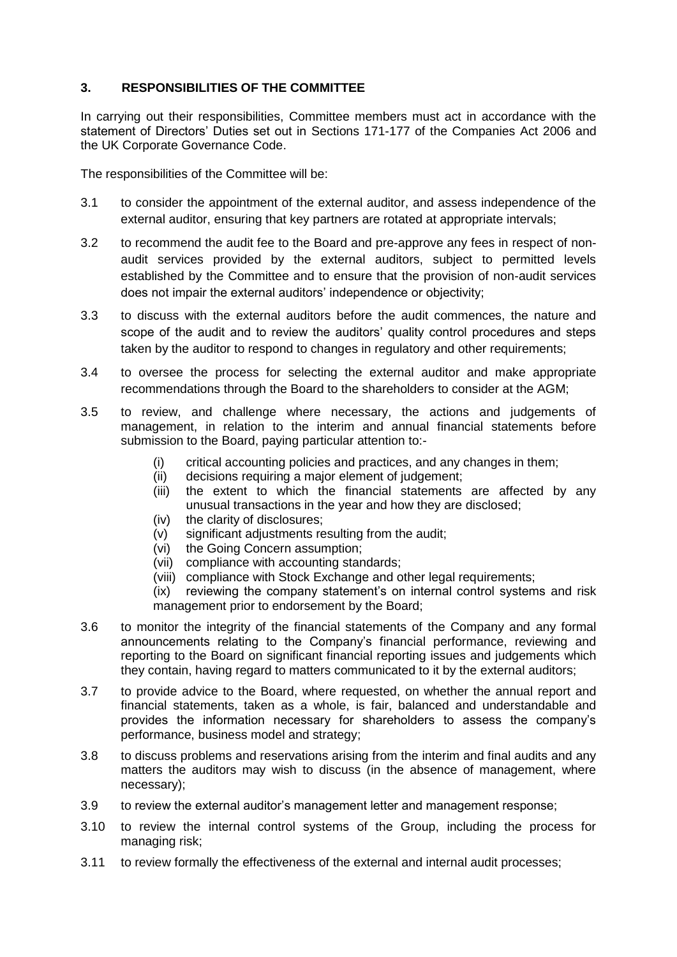# **3. RESPONSIBILITIES OF THE COMMITTEE**

In carrying out their responsibilities, Committee members must act in accordance with the statement of Directors' Duties set out in Sections 171-177 of the Companies Act 2006 and the UK Corporate Governance Code.

The responsibilities of the Committee will be:

- 3.1 to consider the appointment of the external auditor, and assess independence of the external auditor, ensuring that key partners are rotated at appropriate intervals;
- 3.2 to recommend the audit fee to the Board and pre-approve any fees in respect of nonaudit services provided by the external auditors, subject to permitted levels established by the Committee and to ensure that the provision of non-audit services does not impair the external auditors' independence or objectivity;
- 3.3 to discuss with the external auditors before the audit commences, the nature and scope of the audit and to review the auditors' quality control procedures and steps taken by the auditor to respond to changes in regulatory and other requirements;
- 3.4 to oversee the process for selecting the external auditor and make appropriate recommendations through the Board to the shareholders to consider at the AGM;
- 3.5 to review, and challenge where necessary, the actions and judgements of management, in relation to the interim and annual financial statements before submission to the Board, paying particular attention to:-
	- (i) critical accounting policies and practices, and any changes in them;
	- (ii) decisions requiring a major element of judgement;
	- (iii) the extent to which the financial statements are affected by any unusual transactions in the year and how they are disclosed;
	- (iv) the clarity of disclosures;
	- (v) significant adjustments resulting from the audit;
	- (vi) the Going Concern assumption;
	- (vii) compliance with accounting standards;
	- (viii) compliance with Stock Exchange and other legal requirements;
	- (ix) reviewing the company statement's on internal control systems and risk management prior to endorsement by the Board;
- 3.6 to monitor the integrity of the financial statements of the Company and any formal announcements relating to the Company's financial performance, reviewing and reporting to the Board on significant financial reporting issues and judgements which they contain, having regard to matters communicated to it by the external auditors;
- 3.7 to provide advice to the Board, where requested, on whether the annual report and financial statements, taken as a whole, is fair, balanced and understandable and provides the information necessary for shareholders to assess the company's performance, business model and strategy;
- 3.8 to discuss problems and reservations arising from the interim and final audits and any matters the auditors may wish to discuss (in the absence of management, where necessary);
- 3.9 to review the external auditor's management letter and management response;
- 3.10 to review the internal control systems of the Group, including the process for managing risk;
- 3.11 to review formally the effectiveness of the external and internal audit processes;